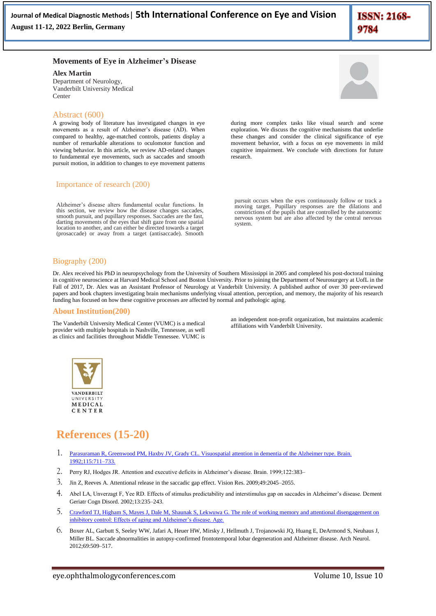**ISSN: 2168-**9784

### **Movements of Eye in Alzheimer's Disease**

**Alex Martin**

Department of Neurology, Vanderbilt University Medical Center

# Abstract (600)

A growing body of literature has investigated changes in eye movements as a result of Alzheimer's disease (AD). When compared to healthy, age-matched controls, patients display a number of remarkable alterations to oculomotor function and viewing behavior. In this article, we review AD-related changes to fundamental eye movements, such as saccades and smooth pursuit motion, in addition to changes to eye movement patterns

#### Importance of research (200)

Alzheimer's disease alters fundamental ocular functions. In this section, we review how the disease changes saccades, smooth pursuit, and pupillary responses. Saccades are the fast, darting movements of the eyes that shift gaze from one spatial location to another, and can either be directed towards a target (prosaccade) or away from a target (antisaccade). Smooth

during more complex tasks like visual search and scene exploration. We discuss the cognitive mechanisms that underlie these changes and consider the clinical significance of eye movement behavior, with a focus on eye movements in mild cognitive impairment. We conclude with directions for future research.

pursuit occurs when the eyes continuously follow or track a moving target. Pupillary responses are the dilations and constrictions of the pupils that are controlled by the autonomic nervous system but are also affected by the central nervous system.

# Biography (200)

Dr. Alex received his PhD in neuropsychology from the University of Southern Mississippi in 2005 and completed his post-doctoral training in cognitive neuroscience at Harvard Medical School and Boston University. Prior to joining the Department of Neurosurgery at UofL in the Fall of 2017, Dr. Alex was an Assistant Professor of Neurology at Vanderbilt University. A published author of over 30 peer-reviewed papers and book chapters investigating brain mechanisms underlying visual attention, perception, and memory, the majority of his research funding has focused on how these cognitive processes are affected by normal and pathologic aging.

# **About Institution(200)**

The Vanderbilt University Medical Center (VUMC) is a medical provider with multiple hospitals in Nashville, Tennessee, as well as clinics and facilities throughout Middle Tennessee. VUMC is

an independent non-profit organization, but maintains academic affiliations with Vanderbilt University.



# **References (15-20)**

- 1. [Parasuraman R, Greenwood PM, Haxby JV, Grady CL. Visuospatial attention in dementia of the Alzheimer type. Brain.](https://doi.org/10.1093/brain/115.3.711)  [1992;115:711–733.](https://doi.org/10.1093/brain/115.3.711)
- 2. Perry RJ, Hodges JR. Attention and executive deficits in Alzheimer's disease. Brain. 1999;122:383–
- 3. Jin Z, Reeves A. Attentional release in the saccadic gap effect. Vision Res. 2009;49:2045–2055.
- 4. Abel LA, Unverzagt F, Yee RD. Effects of stimulus predictability and interstimulus gap on saccades in Alzheimer's disease. Dement Geriatr Cogn Disord. 2002;13:235–243.
- 5. [Crawford TJ, Higham S, Mayes J, Dale M, Shaunak S, Lekwuwa G. The role of working memory and attentional disengagement on](https://doi.org/10.1007/s11357-012-9466-y)  [inhibitory control: Effects of aging and Alzheimer's disease. Age.](https://doi.org/10.1007/s11357-012-9466-y)
- 6. Boxer AL, Garbutt S, Seeley WW, Jafari A, Heuer HW, Mirsky J, Hellmuth J, Trojanowski JQ, Huang E, DeArmond S, Neuhaus J, Miller BL. Saccade abnormalities in autopsy-confirmed frontotemporal lobar degeneration and Alzheimer disease. Arch Neurol. 2012;69:509–517.